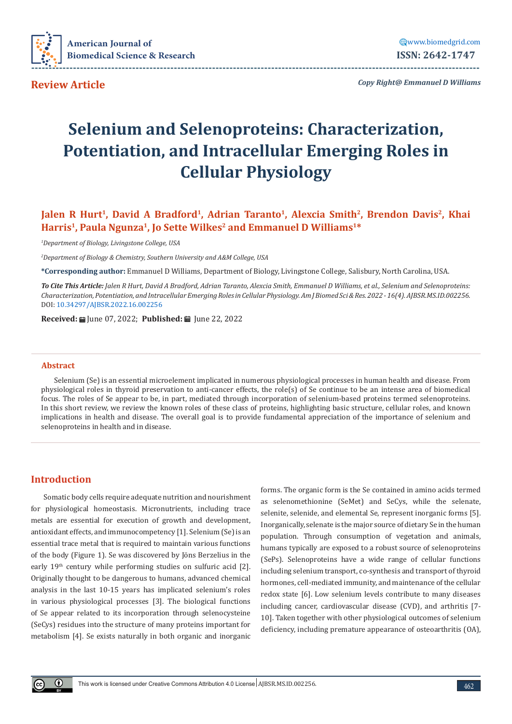

**Review Article** 

*Copy Right@ Emmanuel D Williams*

# **Selenium and Selenoproteins: Characterization, Potentiation, and Intracellular Emerging Roles in Cellular Physiology**

# **Jalen R Hurt<sup>1</sup>, David A Bradford<sup>1</sup>, Adrian Taranto<sup>1</sup>, Alexcia Smith<sup>2</sup>, Brendon Davis<sup>2</sup>, Khai** Harris<sup>1</sup>, Paula Ngunza<sup>1</sup>, Jo Sette Wilkes<sup>2</sup> and Emmanuel D Williams<sup>1\*</sup>

*1 Department of Biology, Livingstone College, USA*

*2 Department of Biology & Chemistry, Southern University and A&M College, USA*

**\*Corresponding author:** Emmanuel D Williams, Department of Biology, Livingstone College, Salisbury, North Carolina, USA.

*To Cite This Article: Jalen R Hurt, David A Bradford, Adrian Taranto, Alexcia Smith, Emmanuel D Williams, et al., Selenium and Selenoproteins: Characterization, Potentiation, and Intracellular Emerging Roles in Cellular Physiology. Am J Biomed Sci & Res. 2022 - 16(4). AJBSR.MS.ID.002256.*  DOI: [10.34297/AJBSR.2022.16.002256](http://dx.doi.org/10.34297/AJBSR.2022.16.002256)

**Received:** June 07, 2022; **Published:** June 22, 2022

#### **Abstract**

Selenium (Se) is an essential microelement implicated in numerous physiological processes in human health and disease. From physiological roles in thyroid preservation to anti-cancer effects, the role(s) of Se continue to be an intense area of biomedical focus. The roles of Se appear to be, in part, mediated through incorporation of selenium-based proteins termed selenoproteins. In this short review, we review the known roles of these class of proteins, highlighting basic structure, cellular roles, and known implications in health and disease. The overall goal is to provide fundamental appreciation of the importance of selenium and selenoproteins in health and in disease.

#### **Introduction**

Somatic body cells require adequate nutrition and nourishment for physiological homeostasis. Micronutrients, including trace metals are essential for execution of growth and development, antioxidant effects, and immunocompetency [1]. Selenium (Se) is an essential trace metal that is required to maintain various functions of the body (Figure 1). Se was discovered by Jöns Berzelius in the early 19<sup>th</sup> century while performing studies on sulfuric acid [2]. Originally thought to be dangerous to humans, advanced chemical analysis in the last 10-15 years has implicated selenium's roles in various physiological processes [3]. The biological functions of Se appear related to its incorporation through selenocysteine (SeCys) residues into the structure of many proteins important for metabolism [4]. Se exists naturally in both organic and inorganic

forms. The organic form is the Se contained in amino acids termed as selenomethionine (SeMet) and SeCys, while the selenate, selenite, selenide, and elemental Se, represent inorganic forms [5]. Inorganically, selenate is the major source of dietary Se in the human population. Through consumption of vegetation and animals, humans typically are exposed to a robust source of selenoproteins (SePs). Selenoproteins have a wide range of cellular functions including selenium transport, co-synthesis and transport of thyroid hormones, cell-mediated immunity, and maintenance of the cellular redox state [6]. Low selenium levels contribute to many diseases including cancer, cardiovascular disease (CVD), and arthritis [7- 10]. Taken together with other physiological outcomes of selenium deficiency, including premature appearance of osteoarthritis (OA),

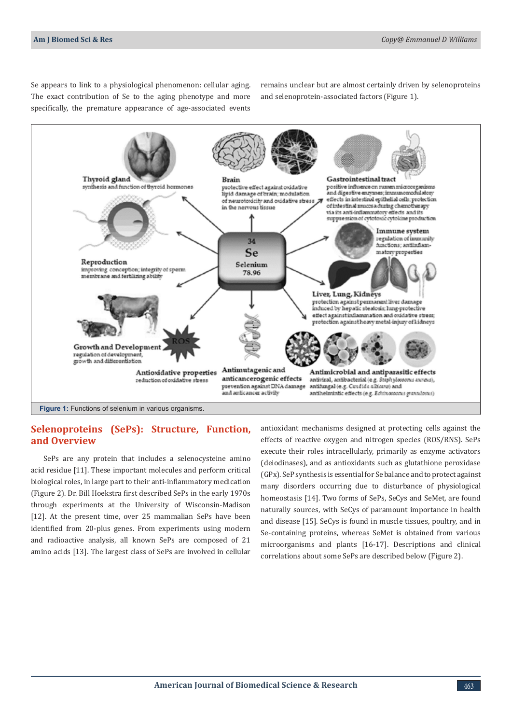Se appears to link to a physiological phenomenon: cellular aging. The exact contribution of Se to the aging phenotype and more specifically, the premature appearance of age-associated events

remains unclear but are almost certainly driven by selenoproteins and selenoprotein-associated factors (Figure 1).



#### **Selenoproteins (SePs): Structure, Function, and Overview**

SePs are any protein that includes a selenocysteine amino acid residue [11]. These important molecules and perform critical biological roles, in large part to their anti-inflammatory medication (Figure 2). Dr. Bill Hoekstra first described SePs in the early 1970s through experiments at the University of Wisconsin-Madison [12]. At the present time, over 25 mammalian SePs have been identified from 20-plus genes. From experiments using modern and radioactive analysis, all known SePs are composed of 21 amino acids [13]. The largest class of SePs are involved in cellular

antioxidant mechanisms designed at protecting cells against the effects of reactive oxygen and nitrogen species (ROS/RNS). SePs execute their roles intracellularly, primarily as enzyme activators (deiodinases), and as antioxidants such as glutathione peroxidase (GPx). SeP synthesis is essential for Se balance and to protect against many disorders occurring due to disturbance of physiological homeostasis [14]. Two forms of SePs, SeCys and SeMet, are found naturally sources, with SeCys of paramount importance in health and disease [15]. SeCys is found in muscle tissues, poultry, and in Se-containing proteins, whereas SeMet is obtained from various microorganisms and plants [16-17]. Descriptions and clinical correlations about some SePs are described below (Figure 2).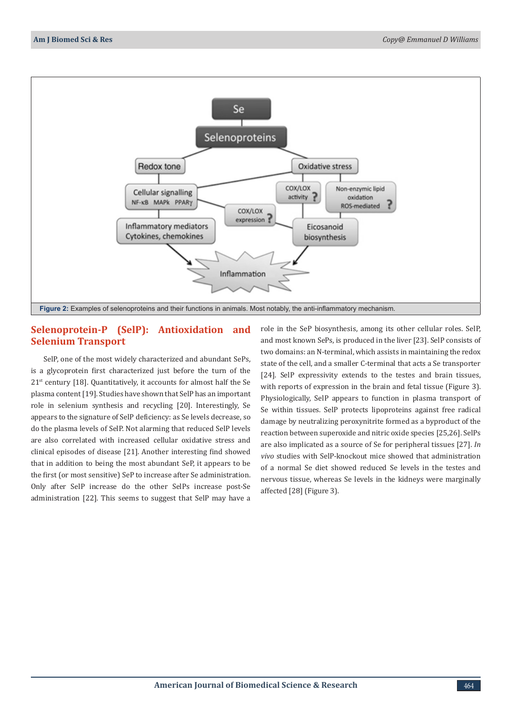

# **Selenoprotein-P (SelP): Antioxidation and Selenium Transport**

SelP, one of the most widely characterized and abundant SePs, is a glycoprotein first characterized just before the turn of the 21<sup>st</sup> century [18]. Quantitatively, it accounts for almost half the Se plasma content [19]. Studies have shown that SelP has an important role in selenium synthesis and recycling [20]. Interestingly, Se appears to the signature of SelP deficiency: as Se levels decrease, so do the plasma levels of SelP. Not alarming that reduced SelP levels are also correlated with increased cellular oxidative stress and clinical episodes of disease [21]. Another interesting find showed that in addition to being the most abundant SeP, it appears to be the first (or most sensitive) SeP to increase after Se administration. Only after SelP increase do the other SelPs increase post-Se administration [22]. This seems to suggest that SelP may have a

role in the SeP biosynthesis, among its other cellular roles. SelP, and most known SePs, is produced in the liver [23]. SelP consists of two domains: an N-terminal, which assists in maintaining the redox state of the cell, and a smaller C-terminal that acts a Se transporter [24]. SelP expressivity extends to the testes and brain tissues, with reports of expression in the brain and fetal tissue (Figure 3). Physiologically, SelP appears to function in plasma transport of Se within tissues. SelP protects lipoproteins against free radical damage by neutralizing peroxynitrite formed as a byproduct of the reaction between superoxide and nitric oxide species [25,26]. SelPs are also implicated as a source of Se for peripheral tissues [27]. *In vivo* studies with SelP-knockout mice showed that administration of a normal Se diet showed reduced Se levels in the testes and nervous tissue, whereas Se levels in the kidneys were marginally affected [28] (Figure 3).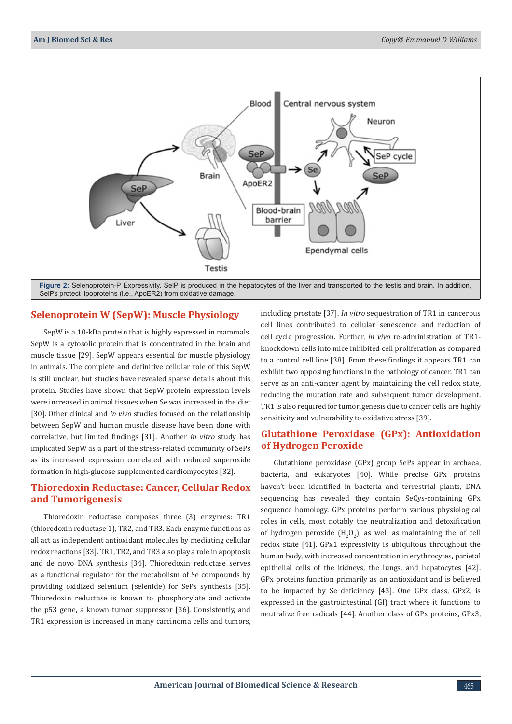

### **Selenoprotein W (SepW): Muscle Physiology**

SepW is a 10-kDa protein that is highly expressed in mammals. SepW is a cytosolic protein that is concentrated in the brain and muscle tissue [29]. SepW appears essential for muscle physiology in animals. The complete and definitive cellular role of this SepW is still unclear, but studies have revealed sparse details about this protein. Studies have shown that SepW protein expression levels were increased in animal tissues when Se was increased in the diet [30]. Other clinical and *in vivo* studies focused on the relationship between SepW and human muscle disease have been done with correlative, but limited findings [31]. Another *in vitro* study has implicated SepW as a part of the stress-related community of SePs as its increased expression correlated with reduced superoxide formation in high-glucose supplemented cardiomyocytes [32].

# **Thioredoxin Reductase: Cancer, Cellular Redox and Tumorigenesis**

Thioredoxin reductase composes three (3) enzymes: TR1 (thioredoxin reductase 1), TR2, and TR3. Each enzyme functions as all act as independent antioxidant molecules by mediating cellular redox reactions [33]. TR1, TR2, and TR3 also play a role in apoptosis and de novo DNA synthesis [34]. Thioredoxin reductase serves as a functional regulator for the metabolism of Se compounds by providing oxidized selenium (selenide) for SePs synthesis [35]. Thioredoxin reductase is known to phosphorylate and activate the p53 gene, a known tumor suppressor [36]. Consistently, and TR1 expression is increased in many carcinoma cells and tumors,

including prostate [37]. *In vitro* sequestration of TR1 in cancerous cell lines contributed to cellular senescence and reduction of cell cycle progression. Further, *in vivo* re-administration of TR1 knockdown cells into mice inhibited cell proliferation as compared to a control cell line [38]. From these findings it appears TR1 can exhibit two opposing functions in the pathology of cancer. TR1 can serve as an anti-cancer agent by maintaining the cell redox state, reducing the mutation rate and subsequent tumor development. TR1 is also required for tumorigenesis due to cancer cells are highly sensitivity and vulnerability to oxidative stress [39].

## **Glutathione Peroxidase (GPx): Antioxidation of Hydrogen Peroxide**

Glutathione peroxidase (GPx) group SePs appear in archaea, bacteria, and eukaryotes [40]. While precise GPx proteins haven't been identified in bacteria and terrestrial plants, DNA sequencing has revealed they contain SeCys-containing GPx sequence homology. GPx proteins perform various physiological roles in cells, most notably the neutralization and detoxification of hydrogen peroxide  $(H_2O_2)$ , as well as maintaining the of cell redox state [41]. GPx1 expressivity is ubiquitous throughout the human body, with increased concentration in erythrocytes, parietal epithelial cells of the kidneys, the lungs, and hepatocytes [42]. GPx proteins function primarily as an antioxidant and is believed to be impacted by Se deficiency [43]. One GPx class, GPx2, is expressed in the gastrointestinal (GI) tract where it functions to neutralize free radicals [44]. Another class of GPx proteins, GPx3,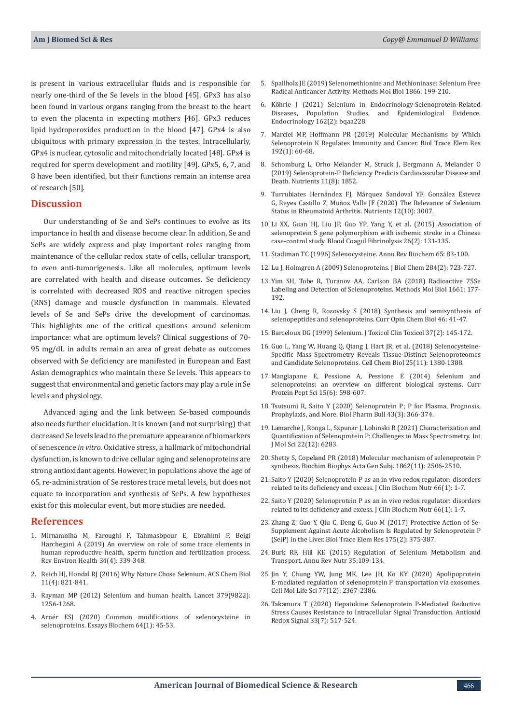is present in various extracellular fluids and is responsible for nearly one-third of the Se levels in the blood [45]. GPx3 has also been found in various organs ranging from the breast to the heart to even the placenta in expecting mothers [46]. GPx3 reduces lipid hydroperoxides production in the blood [47]. GPx4 is also ubiquitous with primary expression in the testes. Intracellularly, GPx4 is nuclear, cytosolic and mitochondrially located [48]. GPx4 is required for sperm development and motility [49]. GPx5, 6, 7, and 8 have been identified, but their functions remain an intense area of research [50].

#### **Discussion**

Our understanding of Se and SePs continues to evolve as its importance in health and disease become clear. In addition, Se and SePs are widely express and play important roles ranging from maintenance of the cellular redox state of cells, cellular transport, to even anti-tumorigenesis. Like all molecules, optimum levels are correlated with health and disease outcomes. Se deficiency is correlated with decreased ROS and reactive nitrogen species (RNS) damage and muscle dysfunction in mammals. Elevated levels of Se and SePs drive the development of carcinomas. This highlights one of the critical questions around selenium importance: what are optimum levels? Clinical suggestions of 70- 95 mg/dL in adults remain an area of great debate as outcomes observed with Se deficiency are manifested in European and East Asian demographics who maintain these Se levels. This appears to suggest that environmental and genetic factors may play a role in Se levels and physiology.

Advanced aging and the link between Se-based compounds also needs further elucidation. It is known (and not surprising) that decreased Se levels lead to the premature appearance of biomarkers of senescence *in vitro*. Oxidative stress, a hallmark of mitochondrial dysfunction, is known to drive cellular aging and selenoproteins are strong antioxidant agents. However, in populations above the age of 65, re-administration of Se restores trace metal levels, but does not equate to incorporation and synthesis of SePs. A few hypotheses exist for this molecular event, but more studies are needed.

#### **References**

- 1. [Mirnamniha M, Faroughi F, Tahmasbpour E, Ebrahimi P, Beigi](https://pubmed.ncbi.nlm.nih.gov/31203261/)  [Harchegani A \(2019\) An overview on role of some trace elements in](https://pubmed.ncbi.nlm.nih.gov/31203261/)  [human reproductive health, sperm function and fertilization process.](https://pubmed.ncbi.nlm.nih.gov/31203261/)  [Rev Environ Health 34\(4\): 339-348.](https://pubmed.ncbi.nlm.nih.gov/31203261/)
- 2. [Reich HJ, Hondal RJ \(2016\) Why Nature Chose Selenium. ACS Chem Biol](https://pubmed.ncbi.nlm.nih.gov/26949981/)  [11\(4\): 821-841.](https://pubmed.ncbi.nlm.nih.gov/26949981/)
- 3. [Rayman MP \(2012\) Selenium and human health. Lancet 379\(9822\):](https://pubmed.ncbi.nlm.nih.gov/22381456/)  [1256-1268.](https://pubmed.ncbi.nlm.nih.gov/22381456/)
- 4. Arné[r ESJ \(2020\) Common modifications of selenocysteine in](https://pubmed.ncbi.nlm.nih.gov/31867620)  [selenoproteins. Essays Biochem 64\(1\): 45-53.](https://pubmed.ncbi.nlm.nih.gov/31867620)
- 5. [Spallholz JE \(2019\) Selenomethionine and Methioninase: Selenium Free](https://pubmed.ncbi.nlm.nih.gov/30725417/) [Radical Anticancer Activity. Methods Mol Biol 1866: 199-210.](https://pubmed.ncbi.nlm.nih.gov/30725417/)
- 6. [Köhrle J \(2021\) Selenium in Endocrinology-Selenoprotein-Related](https://pubmed.ncbi.nlm.nih.gov/33382424/) [Diseases, Population Studies, and Epidemiological Evidence.](https://pubmed.ncbi.nlm.nih.gov/33382424/) [Endocrinology 162\(2\): bqaa228.](https://pubmed.ncbi.nlm.nih.gov/33382424/)
- 7. [Marciel MP, Hoffmann PR \(2019\) Molecular Mechanisms by Which](https://pubmed.ncbi.nlm.nih.gov/31187393/) [Selenoprotein K Regulates Immunity and Cancer. Biol Trace Elem Res](https://pubmed.ncbi.nlm.nih.gov/31187393/) [192\(1\): 60-68.](https://pubmed.ncbi.nlm.nih.gov/31187393/)
- 8. [Schomburg L, Orho Melander M, Struck J, Bergmann A, Melander O](https://pubmed.ncbi.nlm.nih.gov/31404994/) [\(2019\) Selenoprotein-P Deficiency Predicts Cardiovascular Disease and](https://pubmed.ncbi.nlm.nih.gov/31404994/) [Death. Nutrients 11\(8\): 1852.](https://pubmed.ncbi.nlm.nih.gov/31404994/)
- 9. [Turrubiates Hernández FJ, Márquez Sandoval YF, González Estevez](https://pubmed.ncbi.nlm.nih.gov/33007934/) [G, Reyes Castillo Z, Muñoz Valle JF \(2020\) The Relevance of Selenium](https://pubmed.ncbi.nlm.nih.gov/33007934/) [Status in Rheumatoid Arthritis. Nutrients 12\(10\): 3007.](https://pubmed.ncbi.nlm.nih.gov/33007934/)
- 10. [Li XX, Guan HJ, Liu JP, Guo YP, Yang Y, et al. \(2015\) Association of](https://pubmed.ncbi.nlm.nih.gov/25390504/) [selenoprotein S gene polymorphism with ischemic stroke in a Chinese](https://pubmed.ncbi.nlm.nih.gov/25390504/) [case-control study. Blood Coagul Fibrinolysis 26\(2\): 131-135.](https://pubmed.ncbi.nlm.nih.gov/25390504/)
- 11. [Stadtman TC \(1996\) Selenocysteine. Annu Rev Biochem 65: 83-100.](https://www.annualreviews.org/doi/10.1146/annurev.bi.65.070196.000503)
- 12. [Lu J, Holmgren A \(2009\) Selenoproteins. J Biol Chem 284\(2\): 723-727.](https://pubmed.ncbi.nlm.nih.gov/18757362/)
- 13. [Yim SH, Tobe R, Turanov AA, Carlson BA \(2018\) Radioactive 75Se](https://pubmed.ncbi.nlm.nih.gov/28917045/) [Labeling and Detection of Selenoproteins. Methods Mol Biol 1661: 177-](https://pubmed.ncbi.nlm.nih.gov/28917045/) [192.](https://pubmed.ncbi.nlm.nih.gov/28917045/)
- 14. [Liu J, Cheng R, Rozovsky S \(2018\) Synthesis and semisynthesis of](https://pubmed.ncbi.nlm.nih.gov/29723718/) [selenopeptides and selenoproteins. Curr Opin Chem Biol 46: 41-47.](https://pubmed.ncbi.nlm.nih.gov/29723718/)
- 15. [Barceloux DG \(1999\) Selenium. J Toxicol Clin Toxicol 37\(2\): 145-172.](https://pubmed.ncbi.nlm.nih.gov/10382553/)
- 16. [Guo L, Yang W, Huang Q, Qiang J, Hart JR, et al. \(2018\) Selenocysteine-](https://pubmed.ncbi.nlm.nih.gov/30174312/)[Specific Mass Spectrometry Reveals Tissue-Distinct Selenoproteomes](https://pubmed.ncbi.nlm.nih.gov/30174312/) [and Candidate Selenoproteins. Cell Chem Biol 25\(11\): 1380-1388.](https://pubmed.ncbi.nlm.nih.gov/30174312/)
- 17. [Mangiapane E, Pessione A, Pessione E \(2014\) Selenium and](https://pubmed.ncbi.nlm.nih.gov/24910086/) [selenoproteins: an overview on different biological systems. Curr](https://pubmed.ncbi.nlm.nih.gov/24910086/) [Protein Pept Sci 15\(6\): 598-607.](https://pubmed.ncbi.nlm.nih.gov/24910086/)
- 18. [Tsutsumi R, Saito Y \(2020\) Selenoprotein P; P for Plasma, Prognosis,](https://pubmed.ncbi.nlm.nih.gov/32115498/) [Prophylaxis, and More. Biol Pharm Bull 43\(3\): 366-374.](https://pubmed.ncbi.nlm.nih.gov/32115498/)
- 19. [Lamarche J, Ronga L, Szpunar J, Lobinski R \(2021\) Characterization and](https://pubmed.ncbi.nlm.nih.gov/34208081/) [Quantification of Selenoprotein P: Challenges to Mass Spectrometry. Int](https://pubmed.ncbi.nlm.nih.gov/34208081/) [J Mol Sci 22\(12\): 6283.](https://pubmed.ncbi.nlm.nih.gov/34208081/)
- 20. [Shetty S, Copeland PR \(2018\) Molecular mechanism of selenoprotein P](https://pubmed.ncbi.nlm.nih.gov/29656121/) [synthesis. Biochim Biophys Acta Gen Subj. 1862\(11\): 2506-2510.](https://pubmed.ncbi.nlm.nih.gov/29656121/)
- 21. [Saito Y \(2020\) Selenoprotein P as an in vivo redox regulator: disorders](https://pubmed.ncbi.nlm.nih.gov/32001950/) [related to its deficiency and excess. J Clin Biochem Nutr 66\(1\): 1-7.](https://pubmed.ncbi.nlm.nih.gov/32001950/)
- 22. [Saito Y \(2020\) Selenoprotein P as an in vivo redox regulator: disorders](https://pubmed.ncbi.nlm.nih.gov/32001950/) [related to its deficiency and excess. J Clin Biochem Nutr 66\(1\): 1-7.](https://pubmed.ncbi.nlm.nih.gov/32001950/)
- 23. [Zhang Z, Guo Y, Qiu C, Deng G, Guo M \(2017\) Protective Action of Se-](https://pubmed.ncbi.nlm.nih.gov/27334433/)[Supplement Against Acute Alcoholism Is Regulated by Selenoprotein P](https://pubmed.ncbi.nlm.nih.gov/27334433/) [\(SelP\) in the Liver. Biol Trace Elem Res 175\(2\): 375-387.](https://pubmed.ncbi.nlm.nih.gov/27334433/)
- 24. [Burk RF, Hill KE \(2015\) Regulation of Selenium Metabolism and](https://pubmed.ncbi.nlm.nih.gov/25974694/) [Transport. Annu Rev Nutr 35:109-134.](https://pubmed.ncbi.nlm.nih.gov/25974694/)
- 25. [Jin Y, Chung YW, Jung MK, Lee JH, Ko KY \(2020\) Apolipoprotein](https://pubmed.ncbi.nlm.nih.gov/31471680/) [E-mediated regulation of selenoprotein P transportation via exosomes.](https://pubmed.ncbi.nlm.nih.gov/31471680/) [Cell Mol Life Sci 77\(12\): 2367-2386.](https://pubmed.ncbi.nlm.nih.gov/31471680/)
- 26. [Takamura T \(2020\) Hepatokine Selenoprotein P-Mediated Reductive](https://pubmed.ncbi.nlm.nih.gov/32295394/) [Stress Causes Resistance to Intracellular Signal Transduction. Antioxid](https://pubmed.ncbi.nlm.nih.gov/32295394/) [Redox Signal 33\(7\): 517-524.](https://pubmed.ncbi.nlm.nih.gov/32295394/)